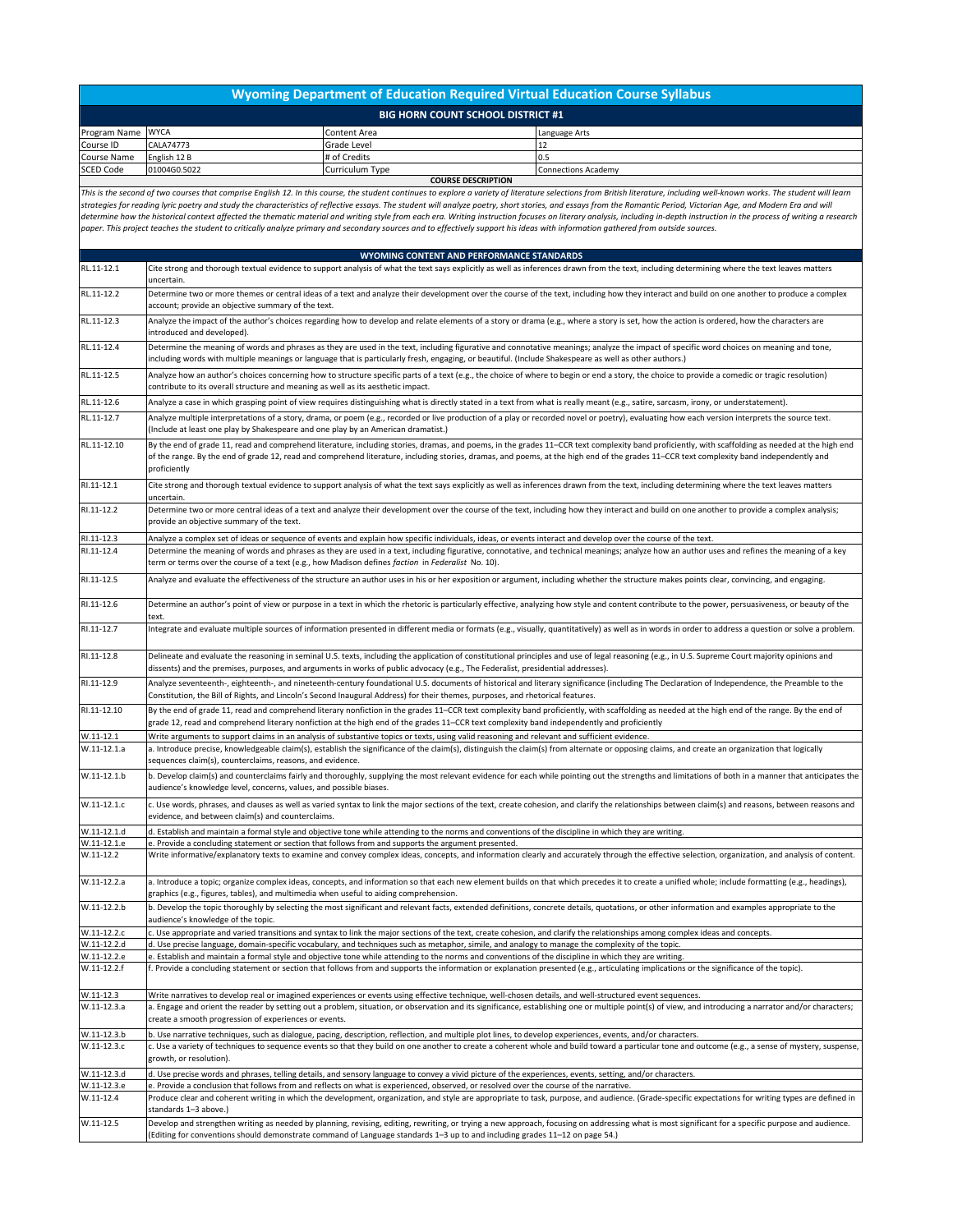## **Wyoming Department of Education Required Virtual Education Course Syllabus**

| <b>BIG HORN COUNT SCHOOL DISTRICT #1</b> |              |                 |                            |  |  |
|------------------------------------------|--------------|-----------------|----------------------------|--|--|
| Program Name WYCA                        |              | Content Area    | Language Arts              |  |  |
| Course ID                                | CALA74773    | Grade Level     |                            |  |  |
| Course Name                              | English 12 B | # of Credits    | 10.5                       |  |  |
| <b>SCED Code</b>                         | 01004G0.5022 | Curriculum Type | <b>Connections Academy</b> |  |  |
| <b>COURSE DESCRIPTION</b>                |              |                 |                            |  |  |

This is the second of two courses that comprise English 12. In this course, the student continues to explore a variety of literature selections from British literature, including well-known works. The student will learn *strategies for reading lyric poetry and study the characteristics of reflective essays. The student will analyze poetry, short stories, and essays from the Romantic Period, Victorian Age, and Modern Era and will*  determine how the historical context affected the thematic material and writing style from each era. Writing instruction focuses on literary analysis, including in-depth instruction in the process of writing a research *paper. This project teaches the student to critically analyze primary and secondary sources and to effectively support his ideas with information gathered from outside sources.*

| RL.11-12.1<br>Cite strong and thorough textual evidence to support analysis of what the text says explicitly as well as inferences drawn from the text, including determining where the text leaves matters<br>uncertain.<br>RL.11-12.2<br>Determine two or more themes or central ideas of a text and analyze their development over the course of the text, including how they interact and build on one another to produce a complex<br>account; provide an objective summary of the text.<br>RL.11-12.3<br>Analyze the impact of the author's choices regarding how to develop and relate elements of a story or drama (e.g., where a story is set, how the action is ordered, how the characters are<br>introduced and developed).<br>RL.11-12.4<br>Determine the meaning of words and phrases as they are used in the text, including figurative and connotative meanings; analyze the impact of specific word choices on meaning and tone,<br>including words with multiple meanings or language that is particularly fresh, engaging, or beautiful. (Include Shakespeare as well as other authors.)<br>RL.11-12.5<br>Analyze how an author's choices concerning how to structure specific parts of a text (e.g., the choice of where to begin or end a story, the choice to provide a comedic or tragic resolution)<br>contribute to its overall structure and meaning as well as its aesthetic impact.<br>RL.11-12.6<br>Analyze a case in which grasping point of view requires distinguishing what is directly stated in a text from what is really meant (e.g., satire, sarcasm, irony, or understatement).<br>RL.11-12.7<br>Analyze multiple interpretations of a story, drama, or poem (e.g., recorded or live production of a play or recorded novel or poetry), evaluating how each version interprets the source text.<br>(Include at least one play by Shakespeare and one play by an American dramatist.)<br>RL.11-12.10<br>By the end of grade 11, read and comprehend literature, including stories, dramas, and poems, in the grades 11-CCR text complexity band proficiently, with scaffolding as needed at the high end<br>of the range. By the end of grade 12, read and comprehend literature, including stories, dramas, and poems, at the high end of the grades 11–CCR text complexity band independently and<br>proficiently<br>RI.11-12.1<br>Cite strong and thorough textual evidence to support analysis of what the text says explicitly as well as inferences drawn from the text, including determining where the text leaves matters<br>uncertain.<br>RI.11-12.2<br>Determine two or more central ideas of a text and analyze their development over the course of the text, including how they interact and build on one another to provide a complex analysis;<br>provide an objective summary of the text.<br>RI.11-12.3<br>Analyze a complex set of ideas or sequence of events and explain how specific individuals, ideas, or events interact and develop over the course of the text.<br>RI.11-12.4<br>Determine the meaning of words and phrases as they are used in a text, including figurative, connotative, and technical meanings; analyze how an author uses and refines the meaning of a key<br>term or terms over the course of a text (e.g., how Madison defines faction in Federalist No. 10).<br>RI.11-12.5<br>Analyze and evaluate the effectiveness of the structure an author uses in his or her exposition or argument, including whether the structure makes points clear, convincing, and engaging.<br>RI.11-12.6<br>Determine an author's point of view or purpose in a text in which the rhetoric is particularly effective, analyzing how style and content contribute to the power, persuasiveness, or beauty of the<br>text.<br>RI.11-12.7<br>Integrate and evaluate multiple sources of information presented in different media or formats (e.g., visually, quantitatively) as well as in words in order to address a question or solve a problem.<br>RI.11-12.8<br>Delineate and evaluate the reasoning in seminal U.S. texts, including the application of constitutional principles and use of legal reasoning (e.g., in U.S. Supreme Court majority opinions and<br>dissents) and the premises, purposes, and arguments in works of public advocacy (e.g., The Federalist, presidential addresses).<br>RI.11-12.9<br>Analyze seventeenth-, eighteenth-, and nineteenth-century foundational U.S. documents of historical and literary significance (including The Declaration of Independence, the Preamble to the<br>Constitution, the Bill of Rights, and Lincoln's Second Inaugural Address) for their themes, purposes, and rhetorical features.<br>RI.11-12.10<br>By the end of grade 11, read and comprehend literary nonfiction in the grades 11–CCR text complexity band proficiently, with scaffolding as needed at the high end of the range. By the end of<br>grade 12, read and comprehend literary nonfiction at the high end of the grades 11–CCR text complexity band independently and proficiently<br>$W.11-12.1$<br>Write arguments to support claims in an analysis of substantive topics or texts, using valid reasoning and relevant and sufficient evidence.<br>W.11-12.1.a<br>a. Introduce precise, knowledgeable claim(s), establish the significance of the claim(s), distinguish the claim(s) from alternate or opposing claims, and create an organization that logically<br>sequences claim(s), counterclaims, reasons, and evidence.<br>W.11-12.1.b<br>b. Develop claim(s) and counterclaims fairly and thoroughly, supplying the most relevant evidence for each while pointing out the strengths and limitations of both in a manner that anticipates the<br>audience's knowledge level, concerns, values, and possible biases.<br>W.11-12.1.c<br>c. Use words, phrases, and clauses as well as varied syntax to link the major sections of the text, create cohesion, and clarify the relationships between claim(s) and reasons, between reasons and<br>evidence, and between claim(s) and counterclaims.<br>W.11-12.1.d<br>d. Establish and maintain a formal style and objective tone while attending to the norms and conventions of the discipline in which they are writing.<br>W.11-12.1.e<br>e. Provide a concluding statement or section that follows from and supports the argument presented.<br>$W.11-12.2$<br>Write informative/explanatory texts to examine and convey complex ideas, concepts, and information clearly and accurately through the effective selection, organization, and analysis of content.<br>W.11-12.2.a<br>a. Introduce a topic; organize complex ideas, concepts, and information so that each new element builds on that which precedes it to create a unified whole; include formatting (e.g., headings),<br>graphics (e.g., figures, tables), and multimedia when useful to aiding comprehension.<br>W.11-12.2.b<br>b. Develop the topic thoroughly by selecting the most significant and relevant facts, extended definitions, concrete details, quotations, or other information and examples appropriate to the<br>audience's knowledge of the topic.<br>W.11-12.2.c<br>c. Use appropriate and varied transitions and syntax to link the major sections of the text, create cohesion, and clarify the relationships among complex ideas and concepts.<br>W.11-12.2.d<br>d. Use precise language, domain-specific vocabulary, and techniques such as metaphor, simile, and analogy to manage the complexity of the topic.<br>W.11-12.2.e<br>e. Establish and maintain a formal style and objective tone while attending to the norms and conventions of the discipline in which they are writing.<br>W.11-12.2.f<br>f. Provide a concluding statement or section that follows from and supports the information or explanation presented (e.g., articulating implications or the significance of the topic).<br>$W.11-12.3$<br>Write narratives to develop real or imagined experiences or events using effective technique, well-chosen details, and well-structured event sequences.<br>W.11-12.3.a<br>a. Engage and orient the reader by setting out a problem, situation, or observation and its significance, establishing one or multiple point(s) of view, and introducing a narrator and/or characters;<br>create a smooth progression of experiences or events.<br>W.11-12.3.b<br>b. Use narrative techniques, such as dialogue, pacing, description, reflection, and multiple plot lines, to develop experiences, events, and/or characters.<br>W.11-12.3.c<br>c. Use a variety of techniques to sequence events so that they build on one another to create a coherent whole and build toward a particular tone and outcome (e.g., a sense of mystery, suspense,<br>growth, or resolution).<br>W.11-12.3.d<br>d. Use precise words and phrases, telling details, and sensory language to convey a vivid picture of the experiences, events, setting, and/or characters.<br>W.11-12.3.e<br>e. Provide a conclusion that follows from and reflects on what is experienced, observed, or resolved over the course of the narrative.<br>$W.11 - 12.4$<br>Produce clear and coherent writing in which the development, organization, and style are appropriate to task, purpose, and audience. (Grade-specific expectations for writing types are defined in<br>standards 1-3 above.)<br>$W.11 - 12.5$<br>Develop and strengthen writing as needed by planning, revising, editing, rewriting, or trying a new approach, focusing on addressing what is most significant for a specific purpose and audience.<br>(Editing for conventions should demonstrate command of Language standards 1-3 up to and including grades 11-12 on page 54.) | WYOMING CONTENT AND PERFORMANCE STANDARDS |
|-----------------------------------------------------------------------------------------------------------------------------------------------------------------------------------------------------------------------------------------------------------------------------------------------------------------------------------------------------------------------------------------------------------------------------------------------------------------------------------------------------------------------------------------------------------------------------------------------------------------------------------------------------------------------------------------------------------------------------------------------------------------------------------------------------------------------------------------------------------------------------------------------------------------------------------------------------------------------------------------------------------------------------------------------------------------------------------------------------------------------------------------------------------------------------------------------------------------------------------------------------------------------------------------------------------------------------------------------------------------------------------------------------------------------------------------------------------------------------------------------------------------------------------------------------------------------------------------------------------------------------------------------------------------------------------------------------------------------------------------------------------------------------------------------------------------------------------------------------------------------------------------------------------------------------------------------------------------------------------------------------------------------------------------------------------------------------------------------------------------------------------------------------------------------------------------------------------------------------------------------------------------------------------------------------------------------------------------------------------------------------------------------------------------------------------------------------------------------------------------------------------------------------------------------------------------------------------------------------------------------------------------------------------------------------------------------------------------------------------------------------------------------------------------------------------------------------------------------------------------------------------------------------------------------------------------------------------------------------------------------------------------------------------------------------------------------------------------------------------------------------------------------------------------------------------------------------------------------------------------------------------------------------------------------------------------------------------------------------------------------------------------------------------------------------------------------------------------------------------------------------------------------------------------------------------------------------------------------------------------------------------------------------------------------------------------------------------------------------------------------------------------------------------------------------------------------------------------------------------------------------------------------------------------------------------------------------------------------------------------------------------------------------------------------------------------------------------------------------------------------------------------------------------------------------------------------------------------------------------------------------------------------------------------------------------------------------------------------------------------------------------------------------------------------------------------------------------------------------------------------------------------------------------------------------------------------------------------------------------------------------------------------------------------------------------------------------------------------------------------------------------------------------------------------------------------------------------------------------------------------------------------------------------------------------------------------------------------------------------------------------------------------------------------------------------------------------------------------------------------------------------------------------------------------------------------------------------------------------------------------------------------------------------------------------------------------------------------------------------------------------------------------------------------------------------------------------------------------------------------------------------------------------------------------------------------------------------------------------------------------------------------------------------------------------------------------------------------------------------------------------------------------------------------------------------------------------------------------------------------------------------------------------------------------------------------------------------------------------------------------------------------------------------------------------------------------------------------------------------------------------------------------------------------------------------------------------------------------------------------------------------------------------------------------------------------------------------------------------------------------------------------------------------------------------------------------------------------------------------------------------------------------------------------------------------------------------------------------------------------------------------------------------------------------------------------------------------------------------------------------------------------------------------------------------------------------------------------------------------------------------------------------------------------------------------------------------------------------------------------------------------------------------------------------------------------------------------------------------------------------------------------------------------------------------------------------------------------------------------------------------------------------------------------------------------------------------------------------------------------------------------------------------------------------------------------------------------------------------------------------------------------------------------------------------------------------------------------------------------------------------------------------------------------------------------------------------------------------------------------------------------------------------------------------------------------------------------------------------------------------------------------------------------------------------------------------------------------------------------------------------------------------------------------------------------------------------------------------------------------------------------------------------------------------------------------------------------------------------------------------------------------------------------------------------------------------------------------------------------------------------------------------------------------------------------------------------------------------------------------------------------------------------------------------------------------------------------------------------------------------------------------------------------------------------------------------------------------------------------------------------------------------------------------------------------------------------------------------------------------------------------------------------------------------------------------------------------------------------------------------------------------------------------------------------------------------------------------------------------------------------------------------------------------------------------------------------------------------------------------------------------------------------------------------------------------------------------------------------------------------------------------------------------------------------------------------------------------------------------------------------------------------------------------------------------------------------------------------------------------------------------------------------------------------------------------------------------------------------------------------------------------------------------------------------|-------------------------------------------|
|                                                                                                                                                                                                                                                                                                                                                                                                                                                                                                                                                                                                                                                                                                                                                                                                                                                                                                                                                                                                                                                                                                                                                                                                                                                                                                                                                                                                                                                                                                                                                                                                                                                                                                                                                                                                                                                                                                                                                                                                                                                                                                                                                                                                                                                                                                                                                                                                                                                                                                                                                                                                                                                                                                                                                                                                                                                                                                                                                                                                                                                                                                                                                                                                                                                                                                                                                                                                                                                                                                                                                                                                                                                                                                                                                                                                                                                                                                                                                                                                                                                                                                                                                                                                                                                                                                                                                                                                                                                                                                                                                                                                                                                                                                                                                                                                                                                                                                                                                                                                                                                                                                                                                                                                                                                                                                                                                                                                                                                                                                                                                                                                                                                                                                                                                                                                                                                                                                                                                                                                                                                                                                                                                                                                                                                                                                                                                                                                                                                                                                                                                                                                                                                                                                                                                                                                                                                                                                                                                                                                                                                                                                                                                                                                                                                                                                                                                                                                                                                                                                                                                                                                                                                                                                                                                                                                                                                                                                                                                                                                                                                                                                                                                                                                                                                                                                                                                                                                                                                                                                                                                                                                                                                                                                                                                                                                                                                                                                                                                                                                                                                                                                                                                                                                                                                                                                                                                                                                                                                                                                                                                                                                                                                                                                                                                                                                     |                                           |
|                                                                                                                                                                                                                                                                                                                                                                                                                                                                                                                                                                                                                                                                                                                                                                                                                                                                                                                                                                                                                                                                                                                                                                                                                                                                                                                                                                                                                                                                                                                                                                                                                                                                                                                                                                                                                                                                                                                                                                                                                                                                                                                                                                                                                                                                                                                                                                                                                                                                                                                                                                                                                                                                                                                                                                                                                                                                                                                                                                                                                                                                                                                                                                                                                                                                                                                                                                                                                                                                                                                                                                                                                                                                                                                                                                                                                                                                                                                                                                                                                                                                                                                                                                                                                                                                                                                                                                                                                                                                                                                                                                                                                                                                                                                                                                                                                                                                                                                                                                                                                                                                                                                                                                                                                                                                                                                                                                                                                                                                                                                                                                                                                                                                                                                                                                                                                                                                                                                                                                                                                                                                                                                                                                                                                                                                                                                                                                                                                                                                                                                                                                                                                                                                                                                                                                                                                                                                                                                                                                                                                                                                                                                                                                                                                                                                                                                                                                                                                                                                                                                                                                                                                                                                                                                                                                                                                                                                                                                                                                                                                                                                                                                                                                                                                                                                                                                                                                                                                                                                                                                                                                                                                                                                                                                                                                                                                                                                                                                                                                                                                                                                                                                                                                                                                                                                                                                                                                                                                                                                                                                                                                                                                                                                                                                                                                                                     |                                           |
|                                                                                                                                                                                                                                                                                                                                                                                                                                                                                                                                                                                                                                                                                                                                                                                                                                                                                                                                                                                                                                                                                                                                                                                                                                                                                                                                                                                                                                                                                                                                                                                                                                                                                                                                                                                                                                                                                                                                                                                                                                                                                                                                                                                                                                                                                                                                                                                                                                                                                                                                                                                                                                                                                                                                                                                                                                                                                                                                                                                                                                                                                                                                                                                                                                                                                                                                                                                                                                                                                                                                                                                                                                                                                                                                                                                                                                                                                                                                                                                                                                                                                                                                                                                                                                                                                                                                                                                                                                                                                                                                                                                                                                                                                                                                                                                                                                                                                                                                                                                                                                                                                                                                                                                                                                                                                                                                                                                                                                                                                                                                                                                                                                                                                                                                                                                                                                                                                                                                                                                                                                                                                                                                                                                                                                                                                                                                                                                                                                                                                                                                                                                                                                                                                                                                                                                                                                                                                                                                                                                                                                                                                                                                                                                                                                                                                                                                                                                                                                                                                                                                                                                                                                                                                                                                                                                                                                                                                                                                                                                                                                                                                                                                                                                                                                                                                                                                                                                                                                                                                                                                                                                                                                                                                                                                                                                                                                                                                                                                                                                                                                                                                                                                                                                                                                                                                                                                                                                                                                                                                                                                                                                                                                                                                                                                                                                                     |                                           |
|                                                                                                                                                                                                                                                                                                                                                                                                                                                                                                                                                                                                                                                                                                                                                                                                                                                                                                                                                                                                                                                                                                                                                                                                                                                                                                                                                                                                                                                                                                                                                                                                                                                                                                                                                                                                                                                                                                                                                                                                                                                                                                                                                                                                                                                                                                                                                                                                                                                                                                                                                                                                                                                                                                                                                                                                                                                                                                                                                                                                                                                                                                                                                                                                                                                                                                                                                                                                                                                                                                                                                                                                                                                                                                                                                                                                                                                                                                                                                                                                                                                                                                                                                                                                                                                                                                                                                                                                                                                                                                                                                                                                                                                                                                                                                                                                                                                                                                                                                                                                                                                                                                                                                                                                                                                                                                                                                                                                                                                                                                                                                                                                                                                                                                                                                                                                                                                                                                                                                                                                                                                                                                                                                                                                                                                                                                                                                                                                                                                                                                                                                                                                                                                                                                                                                                                                                                                                                                                                                                                                                                                                                                                                                                                                                                                                                                                                                                                                                                                                                                                                                                                                                                                                                                                                                                                                                                                                                                                                                                                                                                                                                                                                                                                                                                                                                                                                                                                                                                                                                                                                                                                                                                                                                                                                                                                                                                                                                                                                                                                                                                                                                                                                                                                                                                                                                                                                                                                                                                                                                                                                                                                                                                                                                                                                                                                                     |                                           |
|                                                                                                                                                                                                                                                                                                                                                                                                                                                                                                                                                                                                                                                                                                                                                                                                                                                                                                                                                                                                                                                                                                                                                                                                                                                                                                                                                                                                                                                                                                                                                                                                                                                                                                                                                                                                                                                                                                                                                                                                                                                                                                                                                                                                                                                                                                                                                                                                                                                                                                                                                                                                                                                                                                                                                                                                                                                                                                                                                                                                                                                                                                                                                                                                                                                                                                                                                                                                                                                                                                                                                                                                                                                                                                                                                                                                                                                                                                                                                                                                                                                                                                                                                                                                                                                                                                                                                                                                                                                                                                                                                                                                                                                                                                                                                                                                                                                                                                                                                                                                                                                                                                                                                                                                                                                                                                                                                                                                                                                                                                                                                                                                                                                                                                                                                                                                                                                                                                                                                                                                                                                                                                                                                                                                                                                                                                                                                                                                                                                                                                                                                                                                                                                                                                                                                                                                                                                                                                                                                                                                                                                                                                                                                                                                                                                                                                                                                                                                                                                                                                                                                                                                                                                                                                                                                                                                                                                                                                                                                                                                                                                                                                                                                                                                                                                                                                                                                                                                                                                                                                                                                                                                                                                                                                                                                                                                                                                                                                                                                                                                                                                                                                                                                                                                                                                                                                                                                                                                                                                                                                                                                                                                                                                                                                                                                                                                     |                                           |
|                                                                                                                                                                                                                                                                                                                                                                                                                                                                                                                                                                                                                                                                                                                                                                                                                                                                                                                                                                                                                                                                                                                                                                                                                                                                                                                                                                                                                                                                                                                                                                                                                                                                                                                                                                                                                                                                                                                                                                                                                                                                                                                                                                                                                                                                                                                                                                                                                                                                                                                                                                                                                                                                                                                                                                                                                                                                                                                                                                                                                                                                                                                                                                                                                                                                                                                                                                                                                                                                                                                                                                                                                                                                                                                                                                                                                                                                                                                                                                                                                                                                                                                                                                                                                                                                                                                                                                                                                                                                                                                                                                                                                                                                                                                                                                                                                                                                                                                                                                                                                                                                                                                                                                                                                                                                                                                                                                                                                                                                                                                                                                                                                                                                                                                                                                                                                                                                                                                                                                                                                                                                                                                                                                                                                                                                                                                                                                                                                                                                                                                                                                                                                                                                                                                                                                                                                                                                                                                                                                                                                                                                                                                                                                                                                                                                                                                                                                                                                                                                                                                                                                                                                                                                                                                                                                                                                                                                                                                                                                                                                                                                                                                                                                                                                                                                                                                                                                                                                                                                                                                                                                                                                                                                                                                                                                                                                                                                                                                                                                                                                                                                                                                                                                                                                                                                                                                                                                                                                                                                                                                                                                                                                                                                                                                                                                                                     |                                           |
|                                                                                                                                                                                                                                                                                                                                                                                                                                                                                                                                                                                                                                                                                                                                                                                                                                                                                                                                                                                                                                                                                                                                                                                                                                                                                                                                                                                                                                                                                                                                                                                                                                                                                                                                                                                                                                                                                                                                                                                                                                                                                                                                                                                                                                                                                                                                                                                                                                                                                                                                                                                                                                                                                                                                                                                                                                                                                                                                                                                                                                                                                                                                                                                                                                                                                                                                                                                                                                                                                                                                                                                                                                                                                                                                                                                                                                                                                                                                                                                                                                                                                                                                                                                                                                                                                                                                                                                                                                                                                                                                                                                                                                                                                                                                                                                                                                                                                                                                                                                                                                                                                                                                                                                                                                                                                                                                                                                                                                                                                                                                                                                                                                                                                                                                                                                                                                                                                                                                                                                                                                                                                                                                                                                                                                                                                                                                                                                                                                                                                                                                                                                                                                                                                                                                                                                                                                                                                                                                                                                                                                                                                                                                                                                                                                                                                                                                                                                                                                                                                                                                                                                                                                                                                                                                                                                                                                                                                                                                                                                                                                                                                                                                                                                                                                                                                                                                                                                                                                                                                                                                                                                                                                                                                                                                                                                                                                                                                                                                                                                                                                                                                                                                                                                                                                                                                                                                                                                                                                                                                                                                                                                                                                                                                                                                                                                                     |                                           |
|                                                                                                                                                                                                                                                                                                                                                                                                                                                                                                                                                                                                                                                                                                                                                                                                                                                                                                                                                                                                                                                                                                                                                                                                                                                                                                                                                                                                                                                                                                                                                                                                                                                                                                                                                                                                                                                                                                                                                                                                                                                                                                                                                                                                                                                                                                                                                                                                                                                                                                                                                                                                                                                                                                                                                                                                                                                                                                                                                                                                                                                                                                                                                                                                                                                                                                                                                                                                                                                                                                                                                                                                                                                                                                                                                                                                                                                                                                                                                                                                                                                                                                                                                                                                                                                                                                                                                                                                                                                                                                                                                                                                                                                                                                                                                                                                                                                                                                                                                                                                                                                                                                                                                                                                                                                                                                                                                                                                                                                                                                                                                                                                                                                                                                                                                                                                                                                                                                                                                                                                                                                                                                                                                                                                                                                                                                                                                                                                                                                                                                                                                                                                                                                                                                                                                                                                                                                                                                                                                                                                                                                                                                                                                                                                                                                                                                                                                                                                                                                                                                                                                                                                                                                                                                                                                                                                                                                                                                                                                                                                                                                                                                                                                                                                                                                                                                                                                                                                                                                                                                                                                                                                                                                                                                                                                                                                                                                                                                                                                                                                                                                                                                                                                                                                                                                                                                                                                                                                                                                                                                                                                                                                                                                                                                                                                                                                     |                                           |
|                                                                                                                                                                                                                                                                                                                                                                                                                                                                                                                                                                                                                                                                                                                                                                                                                                                                                                                                                                                                                                                                                                                                                                                                                                                                                                                                                                                                                                                                                                                                                                                                                                                                                                                                                                                                                                                                                                                                                                                                                                                                                                                                                                                                                                                                                                                                                                                                                                                                                                                                                                                                                                                                                                                                                                                                                                                                                                                                                                                                                                                                                                                                                                                                                                                                                                                                                                                                                                                                                                                                                                                                                                                                                                                                                                                                                                                                                                                                                                                                                                                                                                                                                                                                                                                                                                                                                                                                                                                                                                                                                                                                                                                                                                                                                                                                                                                                                                                                                                                                                                                                                                                                                                                                                                                                                                                                                                                                                                                                                                                                                                                                                                                                                                                                                                                                                                                                                                                                                                                                                                                                                                                                                                                                                                                                                                                                                                                                                                                                                                                                                                                                                                                                                                                                                                                                                                                                                                                                                                                                                                                                                                                                                                                                                                                                                                                                                                                                                                                                                                                                                                                                                                                                                                                                                                                                                                                                                                                                                                                                                                                                                                                                                                                                                                                                                                                                                                                                                                                                                                                                                                                                                                                                                                                                                                                                                                                                                                                                                                                                                                                                                                                                                                                                                                                                                                                                                                                                                                                                                                                                                                                                                                                                                                                                                                                                     |                                           |
|                                                                                                                                                                                                                                                                                                                                                                                                                                                                                                                                                                                                                                                                                                                                                                                                                                                                                                                                                                                                                                                                                                                                                                                                                                                                                                                                                                                                                                                                                                                                                                                                                                                                                                                                                                                                                                                                                                                                                                                                                                                                                                                                                                                                                                                                                                                                                                                                                                                                                                                                                                                                                                                                                                                                                                                                                                                                                                                                                                                                                                                                                                                                                                                                                                                                                                                                                                                                                                                                                                                                                                                                                                                                                                                                                                                                                                                                                                                                                                                                                                                                                                                                                                                                                                                                                                                                                                                                                                                                                                                                                                                                                                                                                                                                                                                                                                                                                                                                                                                                                                                                                                                                                                                                                                                                                                                                                                                                                                                                                                                                                                                                                                                                                                                                                                                                                                                                                                                                                                                                                                                                                                                                                                                                                                                                                                                                                                                                                                                                                                                                                                                                                                                                                                                                                                                                                                                                                                                                                                                                                                                                                                                                                                                                                                                                                                                                                                                                                                                                                                                                                                                                                                                                                                                                                                                                                                                                                                                                                                                                                                                                                                                                                                                                                                                                                                                                                                                                                                                                                                                                                                                                                                                                                                                                                                                                                                                                                                                                                                                                                                                                                                                                                                                                                                                                                                                                                                                                                                                                                                                                                                                                                                                                                                                                                                                                     |                                           |
|                                                                                                                                                                                                                                                                                                                                                                                                                                                                                                                                                                                                                                                                                                                                                                                                                                                                                                                                                                                                                                                                                                                                                                                                                                                                                                                                                                                                                                                                                                                                                                                                                                                                                                                                                                                                                                                                                                                                                                                                                                                                                                                                                                                                                                                                                                                                                                                                                                                                                                                                                                                                                                                                                                                                                                                                                                                                                                                                                                                                                                                                                                                                                                                                                                                                                                                                                                                                                                                                                                                                                                                                                                                                                                                                                                                                                                                                                                                                                                                                                                                                                                                                                                                                                                                                                                                                                                                                                                                                                                                                                                                                                                                                                                                                                                                                                                                                                                                                                                                                                                                                                                                                                                                                                                                                                                                                                                                                                                                                                                                                                                                                                                                                                                                                                                                                                                                                                                                                                                                                                                                                                                                                                                                                                                                                                                                                                                                                                                                                                                                                                                                                                                                                                                                                                                                                                                                                                                                                                                                                                                                                                                                                                                                                                                                                                                                                                                                                                                                                                                                                                                                                                                                                                                                                                                                                                                                                                                                                                                                                                                                                                                                                                                                                                                                                                                                                                                                                                                                                                                                                                                                                                                                                                                                                                                                                                                                                                                                                                                                                                                                                                                                                                                                                                                                                                                                                                                                                                                                                                                                                                                                                                                                                                                                                                                                                     |                                           |
|                                                                                                                                                                                                                                                                                                                                                                                                                                                                                                                                                                                                                                                                                                                                                                                                                                                                                                                                                                                                                                                                                                                                                                                                                                                                                                                                                                                                                                                                                                                                                                                                                                                                                                                                                                                                                                                                                                                                                                                                                                                                                                                                                                                                                                                                                                                                                                                                                                                                                                                                                                                                                                                                                                                                                                                                                                                                                                                                                                                                                                                                                                                                                                                                                                                                                                                                                                                                                                                                                                                                                                                                                                                                                                                                                                                                                                                                                                                                                                                                                                                                                                                                                                                                                                                                                                                                                                                                                                                                                                                                                                                                                                                                                                                                                                                                                                                                                                                                                                                                                                                                                                                                                                                                                                                                                                                                                                                                                                                                                                                                                                                                                                                                                                                                                                                                                                                                                                                                                                                                                                                                                                                                                                                                                                                                                                                                                                                                                                                                                                                                                                                                                                                                                                                                                                                                                                                                                                                                                                                                                                                                                                                                                                                                                                                                                                                                                                                                                                                                                                                                                                                                                                                                                                                                                                                                                                                                                                                                                                                                                                                                                                                                                                                                                                                                                                                                                                                                                                                                                                                                                                                                                                                                                                                                                                                                                                                                                                                                                                                                                                                                                                                                                                                                                                                                                                                                                                                                                                                                                                                                                                                                                                                                                                                                                                                                     |                                           |
|                                                                                                                                                                                                                                                                                                                                                                                                                                                                                                                                                                                                                                                                                                                                                                                                                                                                                                                                                                                                                                                                                                                                                                                                                                                                                                                                                                                                                                                                                                                                                                                                                                                                                                                                                                                                                                                                                                                                                                                                                                                                                                                                                                                                                                                                                                                                                                                                                                                                                                                                                                                                                                                                                                                                                                                                                                                                                                                                                                                                                                                                                                                                                                                                                                                                                                                                                                                                                                                                                                                                                                                                                                                                                                                                                                                                                                                                                                                                                                                                                                                                                                                                                                                                                                                                                                                                                                                                                                                                                                                                                                                                                                                                                                                                                                                                                                                                                                                                                                                                                                                                                                                                                                                                                                                                                                                                                                                                                                                                                                                                                                                                                                                                                                                                                                                                                                                                                                                                                                                                                                                                                                                                                                                                                                                                                                                                                                                                                                                                                                                                                                                                                                                                                                                                                                                                                                                                                                                                                                                                                                                                                                                                                                                                                                                                                                                                                                                                                                                                                                                                                                                                                                                                                                                                                                                                                                                                                                                                                                                                                                                                                                                                                                                                                                                                                                                                                                                                                                                                                                                                                                                                                                                                                                                                                                                                                                                                                                                                                                                                                                                                                                                                                                                                                                                                                                                                                                                                                                                                                                                                                                                                                                                                                                                                                                                                     |                                           |
|                                                                                                                                                                                                                                                                                                                                                                                                                                                                                                                                                                                                                                                                                                                                                                                                                                                                                                                                                                                                                                                                                                                                                                                                                                                                                                                                                                                                                                                                                                                                                                                                                                                                                                                                                                                                                                                                                                                                                                                                                                                                                                                                                                                                                                                                                                                                                                                                                                                                                                                                                                                                                                                                                                                                                                                                                                                                                                                                                                                                                                                                                                                                                                                                                                                                                                                                                                                                                                                                                                                                                                                                                                                                                                                                                                                                                                                                                                                                                                                                                                                                                                                                                                                                                                                                                                                                                                                                                                                                                                                                                                                                                                                                                                                                                                                                                                                                                                                                                                                                                                                                                                                                                                                                                                                                                                                                                                                                                                                                                                                                                                                                                                                                                                                                                                                                                                                                                                                                                                                                                                                                                                                                                                                                                                                                                                                                                                                                                                                                                                                                                                                                                                                                                                                                                                                                                                                                                                                                                                                                                                                                                                                                                                                                                                                                                                                                                                                                                                                                                                                                                                                                                                                                                                                                                                                                                                                                                                                                                                                                                                                                                                                                                                                                                                                                                                                                                                                                                                                                                                                                                                                                                                                                                                                                                                                                                                                                                                                                                                                                                                                                                                                                                                                                                                                                                                                                                                                                                                                                                                                                                                                                                                                                                                                                                                                                     |                                           |
|                                                                                                                                                                                                                                                                                                                                                                                                                                                                                                                                                                                                                                                                                                                                                                                                                                                                                                                                                                                                                                                                                                                                                                                                                                                                                                                                                                                                                                                                                                                                                                                                                                                                                                                                                                                                                                                                                                                                                                                                                                                                                                                                                                                                                                                                                                                                                                                                                                                                                                                                                                                                                                                                                                                                                                                                                                                                                                                                                                                                                                                                                                                                                                                                                                                                                                                                                                                                                                                                                                                                                                                                                                                                                                                                                                                                                                                                                                                                                                                                                                                                                                                                                                                                                                                                                                                                                                                                                                                                                                                                                                                                                                                                                                                                                                                                                                                                                                                                                                                                                                                                                                                                                                                                                                                                                                                                                                                                                                                                                                                                                                                                                                                                                                                                                                                                                                                                                                                                                                                                                                                                                                                                                                                                                                                                                                                                                                                                                                                                                                                                                                                                                                                                                                                                                                                                                                                                                                                                                                                                                                                                                                                                                                                                                                                                                                                                                                                                                                                                                                                                                                                                                                                                                                                                                                                                                                                                                                                                                                                                                                                                                                                                                                                                                                                                                                                                                                                                                                                                                                                                                                                                                                                                                                                                                                                                                                                                                                                                                                                                                                                                                                                                                                                                                                                                                                                                                                                                                                                                                                                                                                                                                                                                                                                                                                                                     |                                           |
|                                                                                                                                                                                                                                                                                                                                                                                                                                                                                                                                                                                                                                                                                                                                                                                                                                                                                                                                                                                                                                                                                                                                                                                                                                                                                                                                                                                                                                                                                                                                                                                                                                                                                                                                                                                                                                                                                                                                                                                                                                                                                                                                                                                                                                                                                                                                                                                                                                                                                                                                                                                                                                                                                                                                                                                                                                                                                                                                                                                                                                                                                                                                                                                                                                                                                                                                                                                                                                                                                                                                                                                                                                                                                                                                                                                                                                                                                                                                                                                                                                                                                                                                                                                                                                                                                                                                                                                                                                                                                                                                                                                                                                                                                                                                                                                                                                                                                                                                                                                                                                                                                                                                                                                                                                                                                                                                                                                                                                                                                                                                                                                                                                                                                                                                                                                                                                                                                                                                                                                                                                                                                                                                                                                                                                                                                                                                                                                                                                                                                                                                                                                                                                                                                                                                                                                                                                                                                                                                                                                                                                                                                                                                                                                                                                                                                                                                                                                                                                                                                                                                                                                                                                                                                                                                                                                                                                                                                                                                                                                                                                                                                                                                                                                                                                                                                                                                                                                                                                                                                                                                                                                                                                                                                                                                                                                                                                                                                                                                                                                                                                                                                                                                                                                                                                                                                                                                                                                                                                                                                                                                                                                                                                                                                                                                                                                                     |                                           |
|                                                                                                                                                                                                                                                                                                                                                                                                                                                                                                                                                                                                                                                                                                                                                                                                                                                                                                                                                                                                                                                                                                                                                                                                                                                                                                                                                                                                                                                                                                                                                                                                                                                                                                                                                                                                                                                                                                                                                                                                                                                                                                                                                                                                                                                                                                                                                                                                                                                                                                                                                                                                                                                                                                                                                                                                                                                                                                                                                                                                                                                                                                                                                                                                                                                                                                                                                                                                                                                                                                                                                                                                                                                                                                                                                                                                                                                                                                                                                                                                                                                                                                                                                                                                                                                                                                                                                                                                                                                                                                                                                                                                                                                                                                                                                                                                                                                                                                                                                                                                                                                                                                                                                                                                                                                                                                                                                                                                                                                                                                                                                                                                                                                                                                                                                                                                                                                                                                                                                                                                                                                                                                                                                                                                                                                                                                                                                                                                                                                                                                                                                                                                                                                                                                                                                                                                                                                                                                                                                                                                                                                                                                                                                                                                                                                                                                                                                                                                                                                                                                                                                                                                                                                                                                                                                                                                                                                                                                                                                                                                                                                                                                                                                                                                                                                                                                                                                                                                                                                                                                                                                                                                                                                                                                                                                                                                                                                                                                                                                                                                                                                                                                                                                                                                                                                                                                                                                                                                                                                                                                                                                                                                                                                                                                                                                                                                     |                                           |
|                                                                                                                                                                                                                                                                                                                                                                                                                                                                                                                                                                                                                                                                                                                                                                                                                                                                                                                                                                                                                                                                                                                                                                                                                                                                                                                                                                                                                                                                                                                                                                                                                                                                                                                                                                                                                                                                                                                                                                                                                                                                                                                                                                                                                                                                                                                                                                                                                                                                                                                                                                                                                                                                                                                                                                                                                                                                                                                                                                                                                                                                                                                                                                                                                                                                                                                                                                                                                                                                                                                                                                                                                                                                                                                                                                                                                                                                                                                                                                                                                                                                                                                                                                                                                                                                                                                                                                                                                                                                                                                                                                                                                                                                                                                                                                                                                                                                                                                                                                                                                                                                                                                                                                                                                                                                                                                                                                                                                                                                                                                                                                                                                                                                                                                                                                                                                                                                                                                                                                                                                                                                                                                                                                                                                                                                                                                                                                                                                                                                                                                                                                                                                                                                                                                                                                                                                                                                                                                                                                                                                                                                                                                                                                                                                                                                                                                                                                                                                                                                                                                                                                                                                                                                                                                                                                                                                                                                                                                                                                                                                                                                                                                                                                                                                                                                                                                                                                                                                                                                                                                                                                                                                                                                                                                                                                                                                                                                                                                                                                                                                                                                                                                                                                                                                                                                                                                                                                                                                                                                                                                                                                                                                                                                                                                                                                                                     |                                           |
|                                                                                                                                                                                                                                                                                                                                                                                                                                                                                                                                                                                                                                                                                                                                                                                                                                                                                                                                                                                                                                                                                                                                                                                                                                                                                                                                                                                                                                                                                                                                                                                                                                                                                                                                                                                                                                                                                                                                                                                                                                                                                                                                                                                                                                                                                                                                                                                                                                                                                                                                                                                                                                                                                                                                                                                                                                                                                                                                                                                                                                                                                                                                                                                                                                                                                                                                                                                                                                                                                                                                                                                                                                                                                                                                                                                                                                                                                                                                                                                                                                                                                                                                                                                                                                                                                                                                                                                                                                                                                                                                                                                                                                                                                                                                                                                                                                                                                                                                                                                                                                                                                                                                                                                                                                                                                                                                                                                                                                                                                                                                                                                                                                                                                                                                                                                                                                                                                                                                                                                                                                                                                                                                                                                                                                                                                                                                                                                                                                                                                                                                                                                                                                                                                                                                                                                                                                                                                                                                                                                                                                                                                                                                                                                                                                                                                                                                                                                                                                                                                                                                                                                                                                                                                                                                                                                                                                                                                                                                                                                                                                                                                                                                                                                                                                                                                                                                                                                                                                                                                                                                                                                                                                                                                                                                                                                                                                                                                                                                                                                                                                                                                                                                                                                                                                                                                                                                                                                                                                                                                                                                                                                                                                                                                                                                                                                                     |                                           |
|                                                                                                                                                                                                                                                                                                                                                                                                                                                                                                                                                                                                                                                                                                                                                                                                                                                                                                                                                                                                                                                                                                                                                                                                                                                                                                                                                                                                                                                                                                                                                                                                                                                                                                                                                                                                                                                                                                                                                                                                                                                                                                                                                                                                                                                                                                                                                                                                                                                                                                                                                                                                                                                                                                                                                                                                                                                                                                                                                                                                                                                                                                                                                                                                                                                                                                                                                                                                                                                                                                                                                                                                                                                                                                                                                                                                                                                                                                                                                                                                                                                                                                                                                                                                                                                                                                                                                                                                                                                                                                                                                                                                                                                                                                                                                                                                                                                                                                                                                                                                                                                                                                                                                                                                                                                                                                                                                                                                                                                                                                                                                                                                                                                                                                                                                                                                                                                                                                                                                                                                                                                                                                                                                                                                                                                                                                                                                                                                                                                                                                                                                                                                                                                                                                                                                                                                                                                                                                                                                                                                                                                                                                                                                                                                                                                                                                                                                                                                                                                                                                                                                                                                                                                                                                                                                                                                                                                                                                                                                                                                                                                                                                                                                                                                                                                                                                                                                                                                                                                                                                                                                                                                                                                                                                                                                                                                                                                                                                                                                                                                                                                                                                                                                                                                                                                                                                                                                                                                                                                                                                                                                                                                                                                                                                                                                                                                     |                                           |
|                                                                                                                                                                                                                                                                                                                                                                                                                                                                                                                                                                                                                                                                                                                                                                                                                                                                                                                                                                                                                                                                                                                                                                                                                                                                                                                                                                                                                                                                                                                                                                                                                                                                                                                                                                                                                                                                                                                                                                                                                                                                                                                                                                                                                                                                                                                                                                                                                                                                                                                                                                                                                                                                                                                                                                                                                                                                                                                                                                                                                                                                                                                                                                                                                                                                                                                                                                                                                                                                                                                                                                                                                                                                                                                                                                                                                                                                                                                                                                                                                                                                                                                                                                                                                                                                                                                                                                                                                                                                                                                                                                                                                                                                                                                                                                                                                                                                                                                                                                                                                                                                                                                                                                                                                                                                                                                                                                                                                                                                                                                                                                                                                                                                                                                                                                                                                                                                                                                                                                                                                                                                                                                                                                                                                                                                                                                                                                                                                                                                                                                                                                                                                                                                                                                                                                                                                                                                                                                                                                                                                                                                                                                                                                                                                                                                                                                                                                                                                                                                                                                                                                                                                                                                                                                                                                                                                                                                                                                                                                                                                                                                                                                                                                                                                                                                                                                                                                                                                                                                                                                                                                                                                                                                                                                                                                                                                                                                                                                                                                                                                                                                                                                                                                                                                                                                                                                                                                                                                                                                                                                                                                                                                                                                                                                                                                                                     |                                           |
|                                                                                                                                                                                                                                                                                                                                                                                                                                                                                                                                                                                                                                                                                                                                                                                                                                                                                                                                                                                                                                                                                                                                                                                                                                                                                                                                                                                                                                                                                                                                                                                                                                                                                                                                                                                                                                                                                                                                                                                                                                                                                                                                                                                                                                                                                                                                                                                                                                                                                                                                                                                                                                                                                                                                                                                                                                                                                                                                                                                                                                                                                                                                                                                                                                                                                                                                                                                                                                                                                                                                                                                                                                                                                                                                                                                                                                                                                                                                                                                                                                                                                                                                                                                                                                                                                                                                                                                                                                                                                                                                                                                                                                                                                                                                                                                                                                                                                                                                                                                                                                                                                                                                                                                                                                                                                                                                                                                                                                                                                                                                                                                                                                                                                                                                                                                                                                                                                                                                                                                                                                                                                                                                                                                                                                                                                                                                                                                                                                                                                                                                                                                                                                                                                                                                                                                                                                                                                                                                                                                                                                                                                                                                                                                                                                                                                                                                                                                                                                                                                                                                                                                                                                                                                                                                                                                                                                                                                                                                                                                                                                                                                                                                                                                                                                                                                                                                                                                                                                                                                                                                                                                                                                                                                                                                                                                                                                                                                                                                                                                                                                                                                                                                                                                                                                                                                                                                                                                                                                                                                                                                                                                                                                                                                                                                                                                                     |                                           |
|                                                                                                                                                                                                                                                                                                                                                                                                                                                                                                                                                                                                                                                                                                                                                                                                                                                                                                                                                                                                                                                                                                                                                                                                                                                                                                                                                                                                                                                                                                                                                                                                                                                                                                                                                                                                                                                                                                                                                                                                                                                                                                                                                                                                                                                                                                                                                                                                                                                                                                                                                                                                                                                                                                                                                                                                                                                                                                                                                                                                                                                                                                                                                                                                                                                                                                                                                                                                                                                                                                                                                                                                                                                                                                                                                                                                                                                                                                                                                                                                                                                                                                                                                                                                                                                                                                                                                                                                                                                                                                                                                                                                                                                                                                                                                                                                                                                                                                                                                                                                                                                                                                                                                                                                                                                                                                                                                                                                                                                                                                                                                                                                                                                                                                                                                                                                                                                                                                                                                                                                                                                                                                                                                                                                                                                                                                                                                                                                                                                                                                                                                                                                                                                                                                                                                                                                                                                                                                                                                                                                                                                                                                                                                                                                                                                                                                                                                                                                                                                                                                                                                                                                                                                                                                                                                                                                                                                                                                                                                                                                                                                                                                                                                                                                                                                                                                                                                                                                                                                                                                                                                                                                                                                                                                                                                                                                                                                                                                                                                                                                                                                                                                                                                                                                                                                                                                                                                                                                                                                                                                                                                                                                                                                                                                                                                                                                     |                                           |
|                                                                                                                                                                                                                                                                                                                                                                                                                                                                                                                                                                                                                                                                                                                                                                                                                                                                                                                                                                                                                                                                                                                                                                                                                                                                                                                                                                                                                                                                                                                                                                                                                                                                                                                                                                                                                                                                                                                                                                                                                                                                                                                                                                                                                                                                                                                                                                                                                                                                                                                                                                                                                                                                                                                                                                                                                                                                                                                                                                                                                                                                                                                                                                                                                                                                                                                                                                                                                                                                                                                                                                                                                                                                                                                                                                                                                                                                                                                                                                                                                                                                                                                                                                                                                                                                                                                                                                                                                                                                                                                                                                                                                                                                                                                                                                                                                                                                                                                                                                                                                                                                                                                                                                                                                                                                                                                                                                                                                                                                                                                                                                                                                                                                                                                                                                                                                                                                                                                                                                                                                                                                                                                                                                                                                                                                                                                                                                                                                                                                                                                                                                                                                                                                                                                                                                                                                                                                                                                                                                                                                                                                                                                                                                                                                                                                                                                                                                                                                                                                                                                                                                                                                                                                                                                                                                                                                                                                                                                                                                                                                                                                                                                                                                                                                                                                                                                                                                                                                                                                                                                                                                                                                                                                                                                                                                                                                                                                                                                                                                                                                                                                                                                                                                                                                                                                                                                                                                                                                                                                                                                                                                                                                                                                                                                                                                                                     |                                           |
|                                                                                                                                                                                                                                                                                                                                                                                                                                                                                                                                                                                                                                                                                                                                                                                                                                                                                                                                                                                                                                                                                                                                                                                                                                                                                                                                                                                                                                                                                                                                                                                                                                                                                                                                                                                                                                                                                                                                                                                                                                                                                                                                                                                                                                                                                                                                                                                                                                                                                                                                                                                                                                                                                                                                                                                                                                                                                                                                                                                                                                                                                                                                                                                                                                                                                                                                                                                                                                                                                                                                                                                                                                                                                                                                                                                                                                                                                                                                                                                                                                                                                                                                                                                                                                                                                                                                                                                                                                                                                                                                                                                                                                                                                                                                                                                                                                                                                                                                                                                                                                                                                                                                                                                                                                                                                                                                                                                                                                                                                                                                                                                                                                                                                                                                                                                                                                                                                                                                                                                                                                                                                                                                                                                                                                                                                                                                                                                                                                                                                                                                                                                                                                                                                                                                                                                                                                                                                                                                                                                                                                                                                                                                                                                                                                                                                                                                                                                                                                                                                                                                                                                                                                                                                                                                                                                                                                                                                                                                                                                                                                                                                                                                                                                                                                                                                                                                                                                                                                                                                                                                                                                                                                                                                                                                                                                                                                                                                                                                                                                                                                                                                                                                                                                                                                                                                                                                                                                                                                                                                                                                                                                                                                                                                                                                                                                                     |                                           |
|                                                                                                                                                                                                                                                                                                                                                                                                                                                                                                                                                                                                                                                                                                                                                                                                                                                                                                                                                                                                                                                                                                                                                                                                                                                                                                                                                                                                                                                                                                                                                                                                                                                                                                                                                                                                                                                                                                                                                                                                                                                                                                                                                                                                                                                                                                                                                                                                                                                                                                                                                                                                                                                                                                                                                                                                                                                                                                                                                                                                                                                                                                                                                                                                                                                                                                                                                                                                                                                                                                                                                                                                                                                                                                                                                                                                                                                                                                                                                                                                                                                                                                                                                                                                                                                                                                                                                                                                                                                                                                                                                                                                                                                                                                                                                                                                                                                                                                                                                                                                                                                                                                                                                                                                                                                                                                                                                                                                                                                                                                                                                                                                                                                                                                                                                                                                                                                                                                                                                                                                                                                                                                                                                                                                                                                                                                                                                                                                                                                                                                                                                                                                                                                                                                                                                                                                                                                                                                                                                                                                                                                                                                                                                                                                                                                                                                                                                                                                                                                                                                                                                                                                                                                                                                                                                                                                                                                                                                                                                                                                                                                                                                                                                                                                                                                                                                                                                                                                                                                                                                                                                                                                                                                                                                                                                                                                                                                                                                                                                                                                                                                                                                                                                                                                                                                                                                                                                                                                                                                                                                                                                                                                                                                                                                                                                                                                     |                                           |
|                                                                                                                                                                                                                                                                                                                                                                                                                                                                                                                                                                                                                                                                                                                                                                                                                                                                                                                                                                                                                                                                                                                                                                                                                                                                                                                                                                                                                                                                                                                                                                                                                                                                                                                                                                                                                                                                                                                                                                                                                                                                                                                                                                                                                                                                                                                                                                                                                                                                                                                                                                                                                                                                                                                                                                                                                                                                                                                                                                                                                                                                                                                                                                                                                                                                                                                                                                                                                                                                                                                                                                                                                                                                                                                                                                                                                                                                                                                                                                                                                                                                                                                                                                                                                                                                                                                                                                                                                                                                                                                                                                                                                                                                                                                                                                                                                                                                                                                                                                                                                                                                                                                                                                                                                                                                                                                                                                                                                                                                                                                                                                                                                                                                                                                                                                                                                                                                                                                                                                                                                                                                                                                                                                                                                                                                                                                                                                                                                                                                                                                                                                                                                                                                                                                                                                                                                                                                                                                                                                                                                                                                                                                                                                                                                                                                                                                                                                                                                                                                                                                                                                                                                                                                                                                                                                                                                                                                                                                                                                                                                                                                                                                                                                                                                                                                                                                                                                                                                                                                                                                                                                                                                                                                                                                                                                                                                                                                                                                                                                                                                                                                                                                                                                                                                                                                                                                                                                                                                                                                                                                                                                                                                                                                                                                                                                                                     |                                           |
|                                                                                                                                                                                                                                                                                                                                                                                                                                                                                                                                                                                                                                                                                                                                                                                                                                                                                                                                                                                                                                                                                                                                                                                                                                                                                                                                                                                                                                                                                                                                                                                                                                                                                                                                                                                                                                                                                                                                                                                                                                                                                                                                                                                                                                                                                                                                                                                                                                                                                                                                                                                                                                                                                                                                                                                                                                                                                                                                                                                                                                                                                                                                                                                                                                                                                                                                                                                                                                                                                                                                                                                                                                                                                                                                                                                                                                                                                                                                                                                                                                                                                                                                                                                                                                                                                                                                                                                                                                                                                                                                                                                                                                                                                                                                                                                                                                                                                                                                                                                                                                                                                                                                                                                                                                                                                                                                                                                                                                                                                                                                                                                                                                                                                                                                                                                                                                                                                                                                                                                                                                                                                                                                                                                                                                                                                                                                                                                                                                                                                                                                                                                                                                                                                                                                                                                                                                                                                                                                                                                                                                                                                                                                                                                                                                                                                                                                                                                                                                                                                                                                                                                                                                                                                                                                                                                                                                                                                                                                                                                                                                                                                                                                                                                                                                                                                                                                                                                                                                                                                                                                                                                                                                                                                                                                                                                                                                                                                                                                                                                                                                                                                                                                                                                                                                                                                                                                                                                                                                                                                                                                                                                                                                                                                                                                                                                                     |                                           |
|                                                                                                                                                                                                                                                                                                                                                                                                                                                                                                                                                                                                                                                                                                                                                                                                                                                                                                                                                                                                                                                                                                                                                                                                                                                                                                                                                                                                                                                                                                                                                                                                                                                                                                                                                                                                                                                                                                                                                                                                                                                                                                                                                                                                                                                                                                                                                                                                                                                                                                                                                                                                                                                                                                                                                                                                                                                                                                                                                                                                                                                                                                                                                                                                                                                                                                                                                                                                                                                                                                                                                                                                                                                                                                                                                                                                                                                                                                                                                                                                                                                                                                                                                                                                                                                                                                                                                                                                                                                                                                                                                                                                                                                                                                                                                                                                                                                                                                                                                                                                                                                                                                                                                                                                                                                                                                                                                                                                                                                                                                                                                                                                                                                                                                                                                                                                                                                                                                                                                                                                                                                                                                                                                                                                                                                                                                                                                                                                                                                                                                                                                                                                                                                                                                                                                                                                                                                                                                                                                                                                                                                                                                                                                                                                                                                                                                                                                                                                                                                                                                                                                                                                                                                                                                                                                                                                                                                                                                                                                                                                                                                                                                                                                                                                                                                                                                                                                                                                                                                                                                                                                                                                                                                                                                                                                                                                                                                                                                                                                                                                                                                                                                                                                                                                                                                                                                                                                                                                                                                                                                                                                                                                                                                                                                                                                                                                     |                                           |
|                                                                                                                                                                                                                                                                                                                                                                                                                                                                                                                                                                                                                                                                                                                                                                                                                                                                                                                                                                                                                                                                                                                                                                                                                                                                                                                                                                                                                                                                                                                                                                                                                                                                                                                                                                                                                                                                                                                                                                                                                                                                                                                                                                                                                                                                                                                                                                                                                                                                                                                                                                                                                                                                                                                                                                                                                                                                                                                                                                                                                                                                                                                                                                                                                                                                                                                                                                                                                                                                                                                                                                                                                                                                                                                                                                                                                                                                                                                                                                                                                                                                                                                                                                                                                                                                                                                                                                                                                                                                                                                                                                                                                                                                                                                                                                                                                                                                                                                                                                                                                                                                                                                                                                                                                                                                                                                                                                                                                                                                                                                                                                                                                                                                                                                                                                                                                                                                                                                                                                                                                                                                                                                                                                                                                                                                                                                                                                                                                                                                                                                                                                                                                                                                                                                                                                                                                                                                                                                                                                                                                                                                                                                                                                                                                                                                                                                                                                                                                                                                                                                                                                                                                                                                                                                                                                                                                                                                                                                                                                                                                                                                                                                                                                                                                                                                                                                                                                                                                                                                                                                                                                                                                                                                                                                                                                                                                                                                                                                                                                                                                                                                                                                                                                                                                                                                                                                                                                                                                                                                                                                                                                                                                                                                                                                                                                                                     |                                           |
|                                                                                                                                                                                                                                                                                                                                                                                                                                                                                                                                                                                                                                                                                                                                                                                                                                                                                                                                                                                                                                                                                                                                                                                                                                                                                                                                                                                                                                                                                                                                                                                                                                                                                                                                                                                                                                                                                                                                                                                                                                                                                                                                                                                                                                                                                                                                                                                                                                                                                                                                                                                                                                                                                                                                                                                                                                                                                                                                                                                                                                                                                                                                                                                                                                                                                                                                                                                                                                                                                                                                                                                                                                                                                                                                                                                                                                                                                                                                                                                                                                                                                                                                                                                                                                                                                                                                                                                                                                                                                                                                                                                                                                                                                                                                                                                                                                                                                                                                                                                                                                                                                                                                                                                                                                                                                                                                                                                                                                                                                                                                                                                                                                                                                                                                                                                                                                                                                                                                                                                                                                                                                                                                                                                                                                                                                                                                                                                                                                                                                                                                                                                                                                                                                                                                                                                                                                                                                                                                                                                                                                                                                                                                                                                                                                                                                                                                                                                                                                                                                                                                                                                                                                                                                                                                                                                                                                                                                                                                                                                                                                                                                                                                                                                                                                                                                                                                                                                                                                                                                                                                                                                                                                                                                                                                                                                                                                                                                                                                                                                                                                                                                                                                                                                                                                                                                                                                                                                                                                                                                                                                                                                                                                                                                                                                                                                                     |                                           |
|                                                                                                                                                                                                                                                                                                                                                                                                                                                                                                                                                                                                                                                                                                                                                                                                                                                                                                                                                                                                                                                                                                                                                                                                                                                                                                                                                                                                                                                                                                                                                                                                                                                                                                                                                                                                                                                                                                                                                                                                                                                                                                                                                                                                                                                                                                                                                                                                                                                                                                                                                                                                                                                                                                                                                                                                                                                                                                                                                                                                                                                                                                                                                                                                                                                                                                                                                                                                                                                                                                                                                                                                                                                                                                                                                                                                                                                                                                                                                                                                                                                                                                                                                                                                                                                                                                                                                                                                                                                                                                                                                                                                                                                                                                                                                                                                                                                                                                                                                                                                                                                                                                                                                                                                                                                                                                                                                                                                                                                                                                                                                                                                                                                                                                                                                                                                                                                                                                                                                                                                                                                                                                                                                                                                                                                                                                                                                                                                                                                                                                                                                                                                                                                                                                                                                                                                                                                                                                                                                                                                                                                                                                                                                                                                                                                                                                                                                                                                                                                                                                                                                                                                                                                                                                                                                                                                                                                                                                                                                                                                                                                                                                                                                                                                                                                                                                                                                                                                                                                                                                                                                                                                                                                                                                                                                                                                                                                                                                                                                                                                                                                                                                                                                                                                                                                                                                                                                                                                                                                                                                                                                                                                                                                                                                                                                                                                     |                                           |
|                                                                                                                                                                                                                                                                                                                                                                                                                                                                                                                                                                                                                                                                                                                                                                                                                                                                                                                                                                                                                                                                                                                                                                                                                                                                                                                                                                                                                                                                                                                                                                                                                                                                                                                                                                                                                                                                                                                                                                                                                                                                                                                                                                                                                                                                                                                                                                                                                                                                                                                                                                                                                                                                                                                                                                                                                                                                                                                                                                                                                                                                                                                                                                                                                                                                                                                                                                                                                                                                                                                                                                                                                                                                                                                                                                                                                                                                                                                                                                                                                                                                                                                                                                                                                                                                                                                                                                                                                                                                                                                                                                                                                                                                                                                                                                                                                                                                                                                                                                                                                                                                                                                                                                                                                                                                                                                                                                                                                                                                                                                                                                                                                                                                                                                                                                                                                                                                                                                                                                                                                                                                                                                                                                                                                                                                                                                                                                                                                                                                                                                                                                                                                                                                                                                                                                                                                                                                                                                                                                                                                                                                                                                                                                                                                                                                                                                                                                                                                                                                                                                                                                                                                                                                                                                                                                                                                                                                                                                                                                                                                                                                                                                                                                                                                                                                                                                                                                                                                                                                                                                                                                                                                                                                                                                                                                                                                                                                                                                                                                                                                                                                                                                                                                                                                                                                                                                                                                                                                                                                                                                                                                                                                                                                                                                                                                                                     |                                           |
|                                                                                                                                                                                                                                                                                                                                                                                                                                                                                                                                                                                                                                                                                                                                                                                                                                                                                                                                                                                                                                                                                                                                                                                                                                                                                                                                                                                                                                                                                                                                                                                                                                                                                                                                                                                                                                                                                                                                                                                                                                                                                                                                                                                                                                                                                                                                                                                                                                                                                                                                                                                                                                                                                                                                                                                                                                                                                                                                                                                                                                                                                                                                                                                                                                                                                                                                                                                                                                                                                                                                                                                                                                                                                                                                                                                                                                                                                                                                                                                                                                                                                                                                                                                                                                                                                                                                                                                                                                                                                                                                                                                                                                                                                                                                                                                                                                                                                                                                                                                                                                                                                                                                                                                                                                                                                                                                                                                                                                                                                                                                                                                                                                                                                                                                                                                                                                                                                                                                                                                                                                                                                                                                                                                                                                                                                                                                                                                                                                                                                                                                                                                                                                                                                                                                                                                                                                                                                                                                                                                                                                                                                                                                                                                                                                                                                                                                                                                                                                                                                                                                                                                                                                                                                                                                                                                                                                                                                                                                                                                                                                                                                                                                                                                                                                                                                                                                                                                                                                                                                                                                                                                                                                                                                                                                                                                                                                                                                                                                                                                                                                                                                                                                                                                                                                                                                                                                                                                                                                                                                                                                                                                                                                                                                                                                                                                                     |                                           |
|                                                                                                                                                                                                                                                                                                                                                                                                                                                                                                                                                                                                                                                                                                                                                                                                                                                                                                                                                                                                                                                                                                                                                                                                                                                                                                                                                                                                                                                                                                                                                                                                                                                                                                                                                                                                                                                                                                                                                                                                                                                                                                                                                                                                                                                                                                                                                                                                                                                                                                                                                                                                                                                                                                                                                                                                                                                                                                                                                                                                                                                                                                                                                                                                                                                                                                                                                                                                                                                                                                                                                                                                                                                                                                                                                                                                                                                                                                                                                                                                                                                                                                                                                                                                                                                                                                                                                                                                                                                                                                                                                                                                                                                                                                                                                                                                                                                                                                                                                                                                                                                                                                                                                                                                                                                                                                                                                                                                                                                                                                                                                                                                                                                                                                                                                                                                                                                                                                                                                                                                                                                                                                                                                                                                                                                                                                                                                                                                                                                                                                                                                                                                                                                                                                                                                                                                                                                                                                                                                                                                                                                                                                                                                                                                                                                                                                                                                                                                                                                                                                                                                                                                                                                                                                                                                                                                                                                                                                                                                                                                                                                                                                                                                                                                                                                                                                                                                                                                                                                                                                                                                                                                                                                                                                                                                                                                                                                                                                                                                                                                                                                                                                                                                                                                                                                                                                                                                                                                                                                                                                                                                                                                                                                                                                                                                                                                     |                                           |
|                                                                                                                                                                                                                                                                                                                                                                                                                                                                                                                                                                                                                                                                                                                                                                                                                                                                                                                                                                                                                                                                                                                                                                                                                                                                                                                                                                                                                                                                                                                                                                                                                                                                                                                                                                                                                                                                                                                                                                                                                                                                                                                                                                                                                                                                                                                                                                                                                                                                                                                                                                                                                                                                                                                                                                                                                                                                                                                                                                                                                                                                                                                                                                                                                                                                                                                                                                                                                                                                                                                                                                                                                                                                                                                                                                                                                                                                                                                                                                                                                                                                                                                                                                                                                                                                                                                                                                                                                                                                                                                                                                                                                                                                                                                                                                                                                                                                                                                                                                                                                                                                                                                                                                                                                                                                                                                                                                                                                                                                                                                                                                                                                                                                                                                                                                                                                                                                                                                                                                                                                                                                                                                                                                                                                                                                                                                                                                                                                                                                                                                                                                                                                                                                                                                                                                                                                                                                                                                                                                                                                                                                                                                                                                                                                                                                                                                                                                                                                                                                                                                                                                                                                                                                                                                                                                                                                                                                                                                                                                                                                                                                                                                                                                                                                                                                                                                                                                                                                                                                                                                                                                                                                                                                                                                                                                                                                                                                                                                                                                                                                                                                                                                                                                                                                                                                                                                                                                                                                                                                                                                                                                                                                                                                                                                                                                                                     |                                           |
|                                                                                                                                                                                                                                                                                                                                                                                                                                                                                                                                                                                                                                                                                                                                                                                                                                                                                                                                                                                                                                                                                                                                                                                                                                                                                                                                                                                                                                                                                                                                                                                                                                                                                                                                                                                                                                                                                                                                                                                                                                                                                                                                                                                                                                                                                                                                                                                                                                                                                                                                                                                                                                                                                                                                                                                                                                                                                                                                                                                                                                                                                                                                                                                                                                                                                                                                                                                                                                                                                                                                                                                                                                                                                                                                                                                                                                                                                                                                                                                                                                                                                                                                                                                                                                                                                                                                                                                                                                                                                                                                                                                                                                                                                                                                                                                                                                                                                                                                                                                                                                                                                                                                                                                                                                                                                                                                                                                                                                                                                                                                                                                                                                                                                                                                                                                                                                                                                                                                                                                                                                                                                                                                                                                                                                                                                                                                                                                                                                                                                                                                                                                                                                                                                                                                                                                                                                                                                                                                                                                                                                                                                                                                                                                                                                                                                                                                                                                                                                                                                                                                                                                                                                                                                                                                                                                                                                                                                                                                                                                                                                                                                                                                                                                                                                                                                                                                                                                                                                                                                                                                                                                                                                                                                                                                                                                                                                                                                                                                                                                                                                                                                                                                                                                                                                                                                                                                                                                                                                                                                                                                                                                                                                                                                                                                                                                                     |                                           |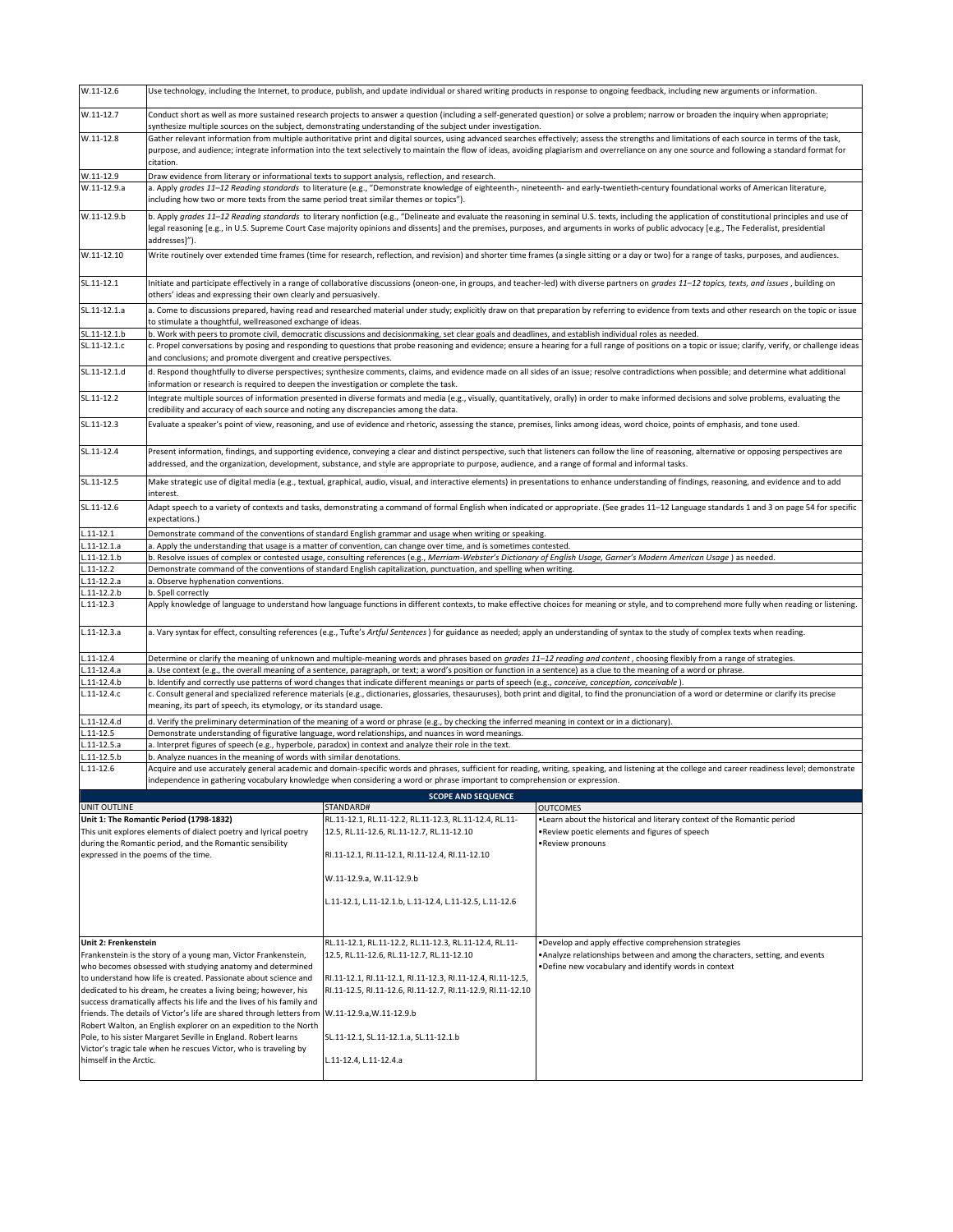| $W.11-12.6$                      | Use technology, including the Internet, to produce, publish, and update individual or shared writing products in response to ongoing feedback, including new arguments or information.                                                                                                                                                                                                                                                    |                                                                                                                                                                         |                                                                                                                                                                                                       |  |  |
|----------------------------------|-------------------------------------------------------------------------------------------------------------------------------------------------------------------------------------------------------------------------------------------------------------------------------------------------------------------------------------------------------------------------------------------------------------------------------------------|-------------------------------------------------------------------------------------------------------------------------------------------------------------------------|-------------------------------------------------------------------------------------------------------------------------------------------------------------------------------------------------------|--|--|
| W.11-12.7                        | Conduct short as well as more sustained research projects to answer a question (including a self-generated question) or solve a problem; narrow or broaden the inquiry when appropriate;<br>synthesize multiple sources on the subject, demonstrating understanding of the subject under investigation.                                                                                                                                   |                                                                                                                                                                         |                                                                                                                                                                                                       |  |  |
| $W.11-12.8$                      | Gather relevant information from multiple authoritative print and digital sources, using advanced searches effectively; assess the strengths and limitations of each source in terms of the task,<br>purpose, and audience; integrate information into the text selectively to maintain the flow of ideas, avoiding plagiarism and overreliance on any one source and following a standard format for<br>citation.                        |                                                                                                                                                                         |                                                                                                                                                                                                       |  |  |
| W.11-12.9                        | Draw evidence from literary or informational texts to support analysis, reflection, and research.                                                                                                                                                                                                                                                                                                                                         |                                                                                                                                                                         |                                                                                                                                                                                                       |  |  |
| W.11-12.9.a                      | a. Apply grades 11-12 Reading standards to literature (e.g., "Demonstrate knowledge of eighteenth-, nineteenth- and early-twentieth-century foundational works of American literature,<br>including how two or more texts from the same period treat similar themes or topics").                                                                                                                                                          |                                                                                                                                                                         |                                                                                                                                                                                                       |  |  |
| W.11-12.9.b                      | b. Apply grades 11-12 Reading standards to literary nonfiction (e.g., "Delineate and evaluate the reasoning in seminal U.S. texts, including the application of constitutional principles and use of<br>legal reasoning [e.g., in U.S. Supreme Court Case majority opinions and dissents] and the premises, purposes, and arguments in works of public advocacy [e.g., The Federalist, presidential<br>addresses]").                      |                                                                                                                                                                         |                                                                                                                                                                                                       |  |  |
| W.11-12.10                       | Write routinely over extended time frames (time for research, reflection, and revision) and shorter time frames (a single sitting or a day or two) for a range of tasks, purposes, and audiences.                                                                                                                                                                                                                                         |                                                                                                                                                                         |                                                                                                                                                                                                       |  |  |
| SL.11-12.1                       | others' ideas and expressing their own clearly and persuasively.                                                                                                                                                                                                                                                                                                                                                                          |                                                                                                                                                                         | Initiate and participate effectively in a range of collaborative discussions (oneon-one, in groups, and teacher-led) with diverse partners on grades 11-12 topics, texts, and issues, building on     |  |  |
| SL.11-12.1.a                     | to stimulate a thoughtful, wellreasoned exchange of ideas.                                                                                                                                                                                                                                                                                                                                                                                |                                                                                                                                                                         | a. Come to discussions prepared, having read and researched material under study; explicitly draw on that preparation by referring to evidence from texts and other research on the topic or issue    |  |  |
| SL.11-12.1.b                     |                                                                                                                                                                                                                                                                                                                                                                                                                                           |                                                                                                                                                                         |                                                                                                                                                                                                       |  |  |
| SL.11-12.1.c                     | b. Work with peers to promote civil, democratic discussions and decisionmaking, set clear goals and deadlines, and establish individual roles as needed.<br>c. Propel conversations by posing and responding to questions that probe reasoning and evidence; ensure a hearing for a full range of positions on a topic or issue; clarify, verify, or challenge ideas<br>and conclusions; and promote divergent and creative perspectives. |                                                                                                                                                                         |                                                                                                                                                                                                       |  |  |
| SL.11-12.1.d                     | information or research is required to deepen the investigation or complete the task.                                                                                                                                                                                                                                                                                                                                                     |                                                                                                                                                                         | d. Respond thoughtfully to diverse perspectives; synthesize comments, claims, and evidence made on all sides of an issue; resolve contradictions when possible; and determine what additional         |  |  |
| SL.11-12.2                       | credibility and accuracy of each source and noting any discrepancies among the data.                                                                                                                                                                                                                                                                                                                                                      |                                                                                                                                                                         | Integrate multiple sources of information presented in diverse formats and media (e.g., visually, quantitatively, orally) in order to make informed decisions and solve problems, evaluating the      |  |  |
| SL.11-12.3                       | Evaluate a speaker's point of view, reasoning, and use of evidence and rhetoric, assessing the stance, premises, links among ideas, word choice, points of emphasis, and tone used.                                                                                                                                                                                                                                                       |                                                                                                                                                                         |                                                                                                                                                                                                       |  |  |
| SL.11-12.4                       | Present information, findings, and supporting evidence, conveying a clear and distinct perspective, such that listeners can follow the line of reasoning, alternative or opposing perspectives are<br>addressed, and the organization, development, substance, and style are appropriate to purpose, audience, and a range of formal and informal tasks.                                                                                  |                                                                                                                                                                         |                                                                                                                                                                                                       |  |  |
| SL.11-12.5                       | Make strategic use of digital media (e.g., textual, graphical, audio, visual, and interactive elements) in presentations to enhance understanding of findings, reasoning, and evidence and to add<br>interest.                                                                                                                                                                                                                            |                                                                                                                                                                         |                                                                                                                                                                                                       |  |  |
| SL.11-12.6                       | Adapt speech to a variety of contexts and tasks, demonstrating a command of formal English when indicated or appropriate. (See grades 11-12 Language standards 1 and 3 on page 54 for specific<br>expectations.)                                                                                                                                                                                                                          |                                                                                                                                                                         |                                                                                                                                                                                                       |  |  |
| $.11 - 12.1$                     |                                                                                                                                                                                                                                                                                                                                                                                                                                           | Demonstrate command of the conventions of standard English grammar and usage when writing or speaking.                                                                  |                                                                                                                                                                                                       |  |  |
| $.11 - 12.1a$                    |                                                                                                                                                                                                                                                                                                                                                                                                                                           | a. Apply the understanding that usage is a matter of convention, can change over time, and is sometimes contested.                                                      |                                                                                                                                                                                                       |  |  |
| $1.11 - 12.1.b$                  |                                                                                                                                                                                                                                                                                                                                                                                                                                           |                                                                                                                                                                         | b. Resolve issues of complex or contested usage, consulting references (e.g., Merriam-Webster's Dictionary of English Usage, Garner's Modern American Usage) as needed.                               |  |  |
| $.11 - 12.2$                     |                                                                                                                                                                                                                                                                                                                                                                                                                                           | Demonstrate command of the conventions of standard English capitalization, punctuation, and spelling when writing.                                                      |                                                                                                                                                                                                       |  |  |
| L.11-12.2.a                      | a. Observe hyphenation conventions.                                                                                                                                                                                                                                                                                                                                                                                                       |                                                                                                                                                                         |                                                                                                                                                                                                       |  |  |
| $1.11 - 12.2 b$<br>$L.11 - 12.3$ | b. Spell correctly<br>Apply knowledge of language to understand how language functions in different contexts, to make effective choices for meaning or style, and to comprehend more fully when reading or listening.                                                                                                                                                                                                                     |                                                                                                                                                                         |                                                                                                                                                                                                       |  |  |
| $L.11 - 12.3.a$                  |                                                                                                                                                                                                                                                                                                                                                                                                                                           |                                                                                                                                                                         | a. Vary syntax for effect, consulting references (e.g., Tufte's Artful Sentences) for guidance as needed; apply an understanding of syntax to the study of complex texts when reading.                |  |  |
| $11 - 12.4$                      |                                                                                                                                                                                                                                                                                                                                                                                                                                           |                                                                                                                                                                         | Determine or clarify the meaning of unknown and multiple-meaning words and phrases based on grades 11-12 reading and content, choosing flexibly from a range of strategies.                           |  |  |
| $L.11 - 12.4.a$                  |                                                                                                                                                                                                                                                                                                                                                                                                                                           | a. Use context (e.g., the overall meaning of a sentence, paragraph, or text; a word's position or function in a sentence) as a clue to the meaning of a word or phrase. |                                                                                                                                                                                                       |  |  |
| L.11-12.4.b                      |                                                                                                                                                                                                                                                                                                                                                                                                                                           | b. Identify and correctly use patterns of word changes that indicate different meanings or parts of speech (e.g., conceive, conception, conceivable).                   |                                                                                                                                                                                                       |  |  |
| $L.11 - 12.4.c$                  | meaning, its part of speech, its etymology, or its standard usage.                                                                                                                                                                                                                                                                                                                                                                        |                                                                                                                                                                         | c. Consult general and specialized reference materials (e.g., dictionaries, glossaries, thesauruses), both print and digital, to find the pronunciation of a word or determine or clarify its precise |  |  |
| $L.11 - 12.4d$                   |                                                                                                                                                                                                                                                                                                                                                                                                                                           | d. Verify the preliminary determination of the meaning of a word or phrase (e.g., by checking the inferred meaning in context or in a dictionary).                      |                                                                                                                                                                                                       |  |  |
| $L.11 - 12.5$                    |                                                                                                                                                                                                                                                                                                                                                                                                                                           | Demonstrate understanding of figurative language, word relationships, and nuances in word meanings.                                                                     |                                                                                                                                                                                                       |  |  |
| $L.11-12.5.a$                    |                                                                                                                                                                                                                                                                                                                                                                                                                                           | a. Interpret figures of speech (e.g., hyperbole, paradox) in context and analyze their role in the text.                                                                |                                                                                                                                                                                                       |  |  |
| $.11 - 12.5 b$                   | b. Analyze nuances in the meaning of words with similar denotations.                                                                                                                                                                                                                                                                                                                                                                      |                                                                                                                                                                         |                                                                                                                                                                                                       |  |  |
| $L.11 - 12.6$                    |                                                                                                                                                                                                                                                                                                                                                                                                                                           | independence in gathering vocabulary knowledge when considering a word or phrase important to comprehension or expression.                                              | Acquire and use accurately general academic and domain-specific words and phrases, sufficient for reading, writing, speaking, and listening at the college and career readiness level; demonstrate    |  |  |
|                                  |                                                                                                                                                                                                                                                                                                                                                                                                                                           | <b>SCOPE AND SEQUENCE</b>                                                                                                                                               |                                                                                                                                                                                                       |  |  |
| <b>UNIT OUTLINE</b>              |                                                                                                                                                                                                                                                                                                                                                                                                                                           | STANDARD#                                                                                                                                                               | <b>OUTCOMES</b>                                                                                                                                                                                       |  |  |
|                                  | Unit 1: The Romantic Period (1798-1832)                                                                                                                                                                                                                                                                                                                                                                                                   | RL.11-12.1, RL.11-12.2, RL.11-12.3, RL.11-12.4, RL.11-                                                                                                                  | . Learn about the historical and literary context of the Romantic period                                                                                                                              |  |  |
|                                  | This unit explores elements of dialect poetry and lyrical poetry                                                                                                                                                                                                                                                                                                                                                                          | 12.5, RL.11-12.6, RL.11-12.7, RL.11-12.10                                                                                                                               | . Review poetic elements and figures of speech                                                                                                                                                        |  |  |
|                                  | during the Romantic period, and the Romantic sensibility                                                                                                                                                                                                                                                                                                                                                                                  |                                                                                                                                                                         | •Review pronouns                                                                                                                                                                                      |  |  |
|                                  | expressed in the poems of the time.                                                                                                                                                                                                                                                                                                                                                                                                       | RI.11-12.1, RI.11-12.1, RI.11-12.4, RI.11-12.10                                                                                                                         |                                                                                                                                                                                                       |  |  |
|                                  |                                                                                                                                                                                                                                                                                                                                                                                                                                           | W.11-12.9.a, W.11-12.9.b                                                                                                                                                |                                                                                                                                                                                                       |  |  |
|                                  |                                                                                                                                                                                                                                                                                                                                                                                                                                           | L.11-12.1, L.11-12.1.b, L.11-12.4, L.11-12.5, L.11-12.6                                                                                                                 |                                                                                                                                                                                                       |  |  |
|                                  |                                                                                                                                                                                                                                                                                                                                                                                                                                           |                                                                                                                                                                         |                                                                                                                                                                                                       |  |  |
| Unit 2: Frenkenstein             |                                                                                                                                                                                                                                                                                                                                                                                                                                           | RL.11-12.1, RL.11-12.2, RL.11-12.3, RL.11-12.4, RL.11-                                                                                                                  | . Develop and apply effective comprehension strategies                                                                                                                                                |  |  |
|                                  |                                                                                                                                                                                                                                                                                                                                                                                                                                           |                                                                                                                                                                         |                                                                                                                                                                                                       |  |  |
|                                  | Frankenstein is the story of a young man, Victor Frankenstein,                                                                                                                                                                                                                                                                                                                                                                            | 12.5, RL.11-12.6, RL.11-12.7, RL.11-12.10                                                                                                                               | . Analyze relationships between and among the characters, setting, and events                                                                                                                         |  |  |
|                                  | who becomes obsessed with studying anatomy and determined                                                                                                                                                                                                                                                                                                                                                                                 |                                                                                                                                                                         | . Define new vocabulary and identify words in context                                                                                                                                                 |  |  |
|                                  | to understand how life is created. Passionate about science and                                                                                                                                                                                                                                                                                                                                                                           | RI.11-12.1, RI.11-12.1, RI.11-12.3, RI.11-12.4, RI.11-12.5,                                                                                                             |                                                                                                                                                                                                       |  |  |
|                                  | dedicated to his dream, he creates a living being; however, his<br>success dramatically affects his life and the lives of his family and                                                                                                                                                                                                                                                                                                  | RI.11-12.5, RI.11-12.6, RI.11-12.7, RI.11-12.9, RI.11-12.10                                                                                                             |                                                                                                                                                                                                       |  |  |

SL.11-12.1, SL.11-12.1.a, SL.11-12.1.b L.11-12.4, L.11-12.4.a friends. The details of Victor's life are shared through letters from<br>Robert Walton, an English explorer on an expedition to the North<br>Pole, to his sister Margaret Seville in England. Robert learns<br>Victor's tragic tale whe